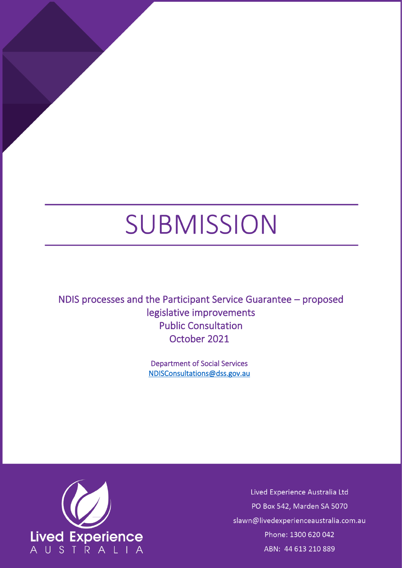# SUBMISSION

NDIS processes and the Participant Service Guarantee – proposed legislative improvements Public Consultation October 2021

> Department of Social Services [NDISConsultations@dss.gov.au](mailto:NDISConsultations@dss.gov.au)



Lived Experience Australia Ltd PO Box 542, Marden SA 5070 slawn@livedexperienceaustralia.com.au Phone: 1300 620 042 ABN: 44 613 210 889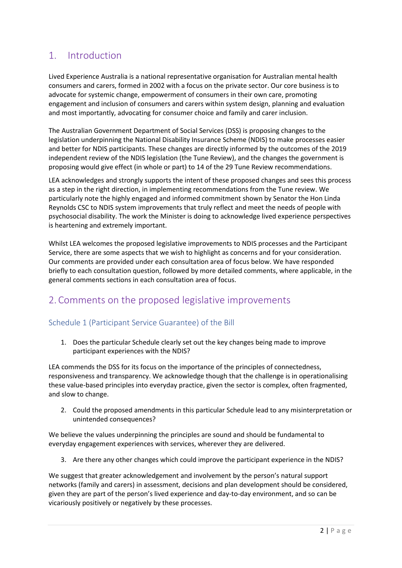# 1. Introduction

Lived Experience Australia is a national representative organisation for Australian mental health consumers and carers, formed in 2002 with a focus on the private sector. Our core business is to advocate for systemic change, empowerment of consumers in their own care, promoting engagement and inclusion of consumers and carers within system design, planning and evaluation and most importantly, advocating for consumer choice and family and carer inclusion.

The Australian Government Department of Social Services (DSS) is [proposing changes](https://engage.dss.gov.au/proposed-ndis-legislative-improvements-and-the-participant-service-guarantee/changes-to-existing-ndis-rules/) to the legislation underpinning the National Disability Insurance Scheme (NDIS) to make processes easier and better for NDIS participants. These changes are directly informed by the outcomes of the [2019](https://www.dss.gov.au/disability-and-carers-programs-services-for-people-with-disability-national-disability-insurance-scheme/2019-review-of-the-ndis-act-and-the-new-ndis-participant-service-guarantee)  [independent review of the NDIS legislation](https://www.dss.gov.au/disability-and-carers-programs-services-for-people-with-disability-national-disability-insurance-scheme/2019-review-of-the-ndis-act-and-the-new-ndis-participant-service-guarantee) (th[e Tune Review\)](https://www.dss.gov.au/sites/default/files/documents/01_2020/ndis-act-review-final-accessibility-and-prepared-publishing1.pdf), and the changes the government is proposing would give effect (in whole or part) to 14 of the 29 Tune Review recommendations.

LEA acknowledges and strongly supports the intent of these proposed changes and sees this process as a step in the right direction, in implementing recommendations from the Tune review. We particularly note the highly engaged and informed commitment shown by Senator the Hon Linda Reynolds CSC to NDIS system improvements that truly reflect and meet the needs of people with psychosocial disability. The work the Minister is doing to acknowledge lived experience perspectives is heartening and extremely important.

Whilst LEA welcomes the proposed legislative improvements to NDIS processes and the Participant Service, there are some aspects that we wish to highlight as concerns and for your consideration. Our comments are provided under each consultation area of focus below. We have responded briefly to each consultation question, followed by more detailed comments, where applicable, in the general comments sections in each consultation area of focus.

# 2. Comments on the proposed legislative improvements

## Schedule 1 (Participant Service Guarantee) of the Bill

1. Does the particular Schedule clearly set out the key changes being made to improve participant experiences with the NDIS?

LEA commends the DSS for its focus on the importance of the principles of connectedness, responsiveness and transparency. We acknowledge though that the challenge is in operationalising these value-based principles into everyday practice, given the sector is complex, often fragmented, and slow to change.

2. Could the proposed amendments in this particular Schedule lead to any misinterpretation or unintended consequences?

We believe the values underpinning the principles are sound and should be fundamental to everyday engagement experiences with services, wherever they are delivered.

3. Are there any other changes which could improve the participant experience in the NDIS?

We suggest that greater acknowledgement and involvement by the person's natural support networks (family and carers) in assessment, decisions and plan development should be considered, given they are part of the person's lived experience and day-to-day environment, and so can be vicariously positively or negatively by these processes.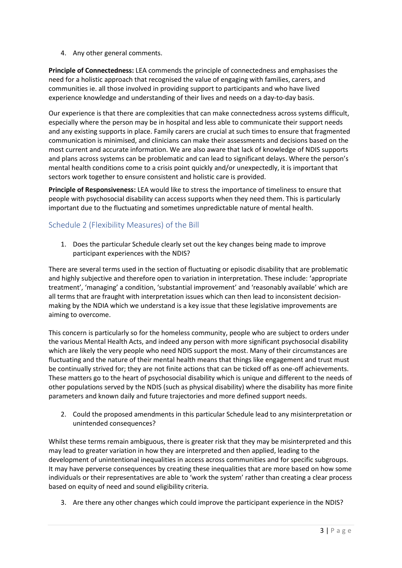4. Any other general comments.

**Principle of Connectedness:** LEA commends the principle of connectedness and emphasises the need for a holistic approach that recognised the value of engaging with families, carers, and communities ie. all those involved in providing support to participants and who have lived experience knowledge and understanding of their lives and needs on a day-to-day basis.

Our experience is that there are complexities that can make connectedness across systems difficult, especially where the person may be in hospital and less able to communicate their support needs and any existing supports in place. Family carers are crucial at such times to ensure that fragmented communication is minimised, and clinicians can make their assessments and decisions based on the most current and accurate information. We are also aware that lack of knowledge of NDIS supports and plans across systems can be problematic and can lead to significant delays. Where the person's mental health conditions come to a crisis point quickly and/or unexpectedly, it is important that sectors work together to ensure consistent and holistic care is provided.

**Principle of Responsiveness:** LEA would like to stress the importance of timeliness to ensure that people with psychosocial disability can access supports when they need them. This is particularly important due to the fluctuating and sometimes unpredictable nature of mental health.

## Schedule 2 (Flexibility Measures) of the Bill

1. Does the particular Schedule clearly set out the key changes being made to improve participant experiences with the NDIS?

There are several terms used in the section of fluctuating or episodic disability that are problematic and highly subjective and therefore open to variation in interpretation. These include: 'appropriate treatment', 'managing' a condition, 'substantial improvement' and 'reasonably available' which are all terms that are fraught with interpretation issues which can then lead to inconsistent decisionmaking by the NDIA which we understand is a key issue that these legislative improvements are aiming to overcome.

This concern is particularly so for the homeless community, people who are subject to orders under the various Mental Health Acts, and indeed any person with more significant psychosocial disability which are likely the very people who need NDIS support the most. Many of their circumstances are fluctuating and the nature of their mental health means that things like engagement and trust must be continually strived for; they are not finite actions that can be ticked off as one-off achievements. These matters go to the heart of psychosocial disability which is unique and different to the needs of other populations served by the NDIS (such as physical disability) where the disability has more finite parameters and known daily and future trajectories and more defined support needs.

2. Could the proposed amendments in this particular Schedule lead to any misinterpretation or unintended consequences?

Whilst these terms remain ambiguous, there is greater risk that they may be misinterpreted and this may lead to greater variation in how they are interpreted and then applied, leading to the development of unintentional inequalities in access across communities and for specific subgroups. It may have perverse consequences by creating these inequalities that are more based on how some individuals or their representatives are able to 'work the system' rather than creating a clear process based on equity of need and sound eligibility criteria.

3. Are there any other changes which could improve the participant experience in the NDIS?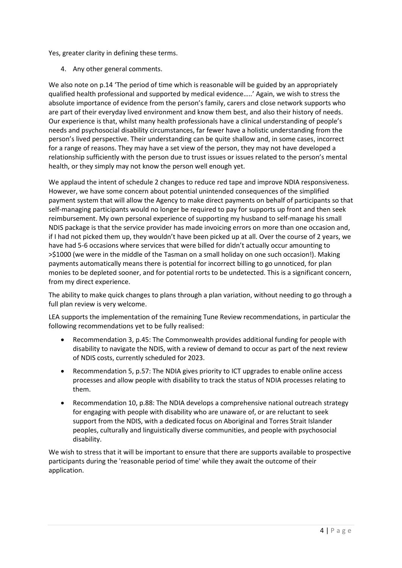Yes, greater clarity in defining these terms.

4. Any other general comments.

We also note on p.14 'The period of time which is reasonable will be guided by an appropriately qualified health professional and supported by medical evidence…..' Again, we wish to stress the absolute importance of evidence from the person's family, carers and close network supports who are part of their everyday lived environment and know them best, and also their history of needs. Our experience is that, whilst many health professionals have a clinical understanding of people's needs and psychosocial disability circumstances, far fewer have a holistic understanding from the person's lived perspective. Their understanding can be quite shallow and, in some cases, incorrect for a range of reasons. They may have a set view of the person, they may not have developed a relationship sufficiently with the person due to trust issues or issues related to the person's mental health, or they simply may not know the person well enough yet.

We applaud the intent of schedule 2 changes to reduce red tape and improve NDIA responsiveness. However, we have some concern about potential unintended consequences of the simplified payment system that will allow the Agency to make direct payments on behalf of participants so that self-managing participants would no longer be required to pay for supports up front and then seek reimbursement. My own personal experience of supporting my husband to self-manage his small NDIS package is that the service provider has made invoicing errors on more than one occasion and, if I had not picked them up, they wouldn't have been picked up at all. Over the course of 2 years, we have had 5-6 occasions where services that were billed for didn't actually occur amounting to >\$1000 (we were in the middle of the Tasman on a small holiday on one such occasion!). Making payments automatically means there is potential for incorrect billing to go unnoticed, for plan monies to be depleted sooner, and for potential rorts to be undetected. This is a significant concern, from my direct experience.

The ability to make quick changes to plans through a plan variation, without needing to go through a full plan review is very welcome.

LEA supports the implementation of the remaining Tune Review recommendations, in particular the following recommendations yet to be fully realised:

- Recommendation 3, p.45: The Commonwealth provides additional funding for people with disability to navigate the NDIS, with a review of demand to occur as part of the next review of NDIS costs, currently scheduled for 2023.
- Recommendation 5, p.57: The NDIA gives priority to ICT upgrades to enable online access processes and allow people with disability to track the status of NDIA processes relating to them.
- Recommendation 10, p.88: The NDIA develops a comprehensive national outreach strategy for engaging with people with disability who are unaware of, or are reluctant to seek support from the NDIS, with a dedicated focus on Aboriginal and Torres Strait Islander peoples, culturally and linguistically diverse communities, and people with psychosocial disability.

We wish to stress that it will be important to ensure that there are supports available to prospective participants during the 'reasonable period of time' while they await the outcome of their application.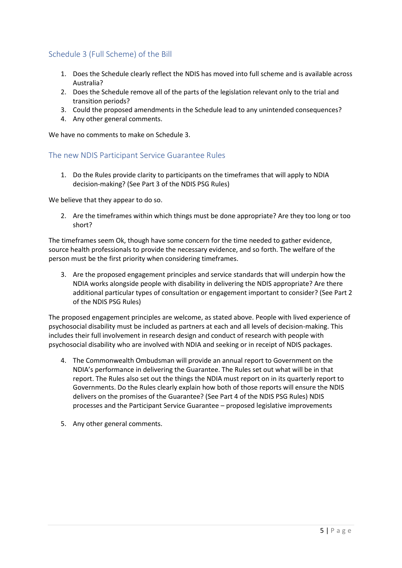## Schedule 3 (Full Scheme) of the Bill

- 1. Does the Schedule clearly reflect the NDIS has moved into full scheme and is available across Australia?
- 2. Does the Schedule remove all of the parts of the legislation relevant only to the trial and transition periods?
- 3. Could the proposed amendments in the Schedule lead to any unintended consequences?
- 4. Any other general comments.

We have no comments to make on Schedule 3.

#### The new NDIS Participant Service Guarantee Rules

1. Do the Rules provide clarity to participants on the timeframes that will apply to NDIA decision-making? (See Part 3 of the NDIS PSG Rules)

We believe that they appear to do so.

2. Are the timeframes within which things must be done appropriate? Are they too long or too short?

The timeframes seem Ok, though have some concern for the time needed to gather evidence, source health professionals to provide the necessary evidence, and so forth. The welfare of the person must be the first priority when considering timeframes.

3. Are the proposed engagement principles and service standards that will underpin how the NDIA works alongside people with disability in delivering the NDIS appropriate? Are there additional particular types of consultation or engagement important to consider? (See Part 2 of the NDIS PSG Rules)

The proposed engagement principles are welcome, as stated above. People with lived experience of psychosocial disability must be included as partners at each and all levels of decision-making. This includes their full involvement in research design and conduct of research with people with psychosocial disability who are involved with NDIA and seeking or in receipt of NDIS packages.

- 4. The Commonwealth Ombudsman will provide an annual report to Government on the NDIA's performance in delivering the Guarantee. The Rules set out what will be in that report. The Rules also set out the things the NDIA must report on in its quarterly report to Governments. Do the Rules clearly explain how both of those reports will ensure the NDIS delivers on the promises of the Guarantee? (See Part 4 of the NDIS PSG Rules) NDIS processes and the Participant Service Guarantee – proposed legislative improvements
- 5. Any other general comments.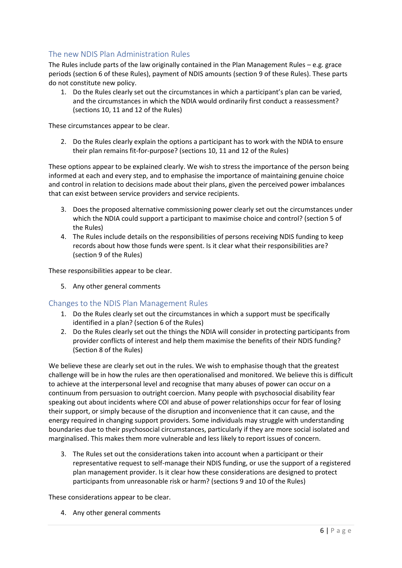### The new NDIS Plan Administration Rules

The Rules include parts of the law originally contained in the Plan Management Rules – e.g. grace periods (section 6 of these Rules), payment of NDIS amounts (section 9 of these Rules). These parts do not constitute new policy.

1. Do the Rules clearly set out the circumstances in which a participant's plan can be varied, and the circumstances in which the NDIA would ordinarily first conduct a reassessment? (sections 10, 11 and 12 of the Rules)

These circumstances appear to be clear.

2. Do the Rules clearly explain the options a participant has to work with the NDIA to ensure their plan remains fit-for-purpose? (sections 10, 11 and 12 of the Rules)

These options appear to be explained clearly. We wish to stress the importance of the person being informed at each and every step, and to emphasise the importance of maintaining genuine choice and control in relation to decisions made about their plans, given the perceived power imbalances that can exist between service providers and service recipients.

- 3. Does the proposed alternative commissioning power clearly set out the circumstances under which the NDIA could support a participant to maximise choice and control? (section 5 of the Rules)
- 4. The Rules include details on the responsibilities of persons receiving NDIS funding to keep records about how those funds were spent. Is it clear what their responsibilities are? (section 9 of the Rules)

These responsibilities appear to be clear.

5. Any other general comments

#### Changes to the NDIS Plan Management Rules

- 1. Do the Rules clearly set out the circumstances in which a support must be specifically identified in a plan? (section 6 of the Rules)
- 2. Do the Rules clearly set out the things the NDIA will consider in protecting participants from provider conflicts of interest and help them maximise the benefits of their NDIS funding? (Section 8 of the Rules)

We believe these are clearly set out in the rules. We wish to emphasise though that the greatest challenge will be in how the rules are then operationalised and monitored. We believe this is difficult to achieve at the interpersonal level and recognise that many abuses of power can occur on a continuum from persuasion to outright coercion. Many people with psychosocial disability fear speaking out about incidents where COI and abuse of power relationships occur for fear of losing their support, or simply because of the disruption and inconvenience that it can cause, and the energy required in changing support providers. Some individuals may struggle with understanding boundaries due to their psychosocial circumstances, particularly if they are more social isolated and marginalised. This makes them more vulnerable and less likely to report issues of concern.

3. The Rules set out the considerations taken into account when a participant or their representative request to self-manage their NDIS funding, or use the support of a registered plan management provider. Is it clear how these considerations are designed to protect participants from unreasonable risk or harm? (sections 9 and 10 of the Rules)

These considerations appear to be clear.

4. Any other general comments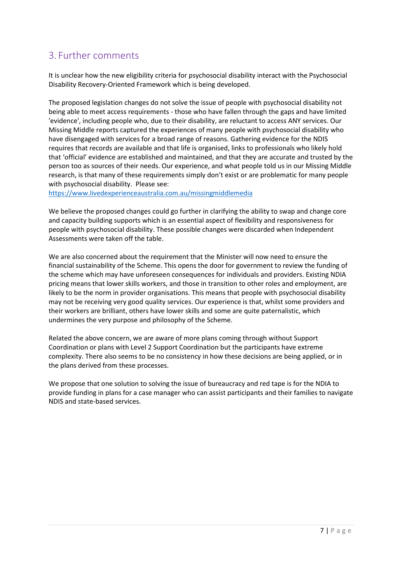# 3. Further comments

It is unclear how the new eligibility criteria for psychosocial disability interact with the Psychosocial Disability Recovery-Oriented Framework which is being developed.

The proposed legislation changes do not solve the issue of people with psychosocial disability not being able to meet access requirements - those who have fallen through the gaps and have limited 'evidence', including people who, due to their disability, are reluctant to access ANY services. Our Missing Middle reports captured the experiences of many people with psychosocial disability who have disengaged with services for a broad range of reasons. Gathering evidence for the NDIS requires that records are available and that life is organised, links to professionals who likely hold that 'official' evidence are established and maintained, and that they are accurate and trusted by the person too as sources of their needs. Our experience, and what people told us in our Missing Middle research, is that many of these requirements simply don't exist or are problematic for many people with psychosocial disability. Please see:

<https://www.livedexperienceaustralia.com.au/missingmiddlemedia>

We believe the proposed changes could go further in clarifying the ability to swap and change core and capacity building supports which is an essential aspect of flexibility and responsiveness for people with psychosocial disability. These possible changes were discarded when Independent Assessments were taken off the table.

We are also concerned about the requirement that the Minister will now need to ensure the financial sustainability of the Scheme. This opens the door for government to review the funding of the scheme which may have unforeseen consequences for individuals and providers. Existing NDIA pricing means that lower skills workers, and those in transition to other roles and employment, are likely to be the norm in provider organisations. This means that people with psychosocial disability may not be receiving very good quality services. Our experience is that, whilst some providers and their workers are brilliant, others have lower skills and some are quite paternalistic, which undermines the very purpose and philosophy of the Scheme.

Related the above concern, we are aware of more plans coming through without Support Coordination or plans with Level 2 Support Coordination but the participants have extreme complexity. There also seems to be no consistency in how these decisions are being applied, or in the plans derived from these processes.

We propose that one solution to solving the issue of bureaucracy and red tape is for the NDIA to provide funding in plans for a case manager who can assist participants and their families to navigate NDIS and state-based services.